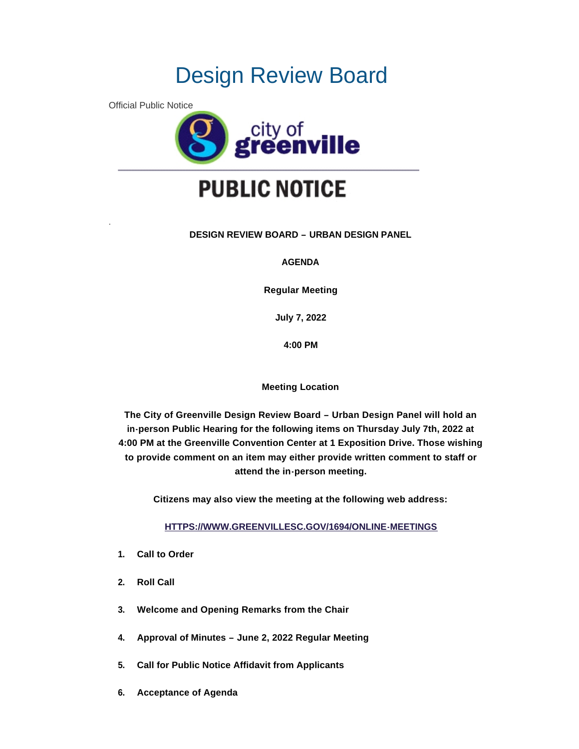# Design Review Board

Official Public Notice

.



# **PUBLIC NOTICE**

# **DESIGN REVIEW BOARD – URBAN DESIGN PANEL**

**AGENDA**

**Regular Meeting**

**July 7, 2022**

**4:00 PM**

**Meeting Location**

**The City of Greenville Design Review Board – Urban Design Panel will hold an in-person Public Hearing for the following items on Thursday July 7th, 2022 at 4:00 PM at the Greenville Convention Center at 1 Exposition Drive. Those wishing to provide comment on an item may either provide written comment to staff or attend the in-person meeting.**

**Citizens may also view the meeting at the following web address:**

**[HTTPS://WWW.GREENVILLESC.GOV/1694/ONLINE-MEETINGS](https://www.greenvillesc.gov/1694/Online-Meetings)**

- **1. Call to Order**
- **2. Roll Call**
- **3. Welcome and Opening Remarks from the Chair**
- **4. Approval of Minutes – June 2, 2022 Regular Meeting**
- **5. Call for Public Notice Affidavit from Applicants**
- **6. Acceptance of Agenda**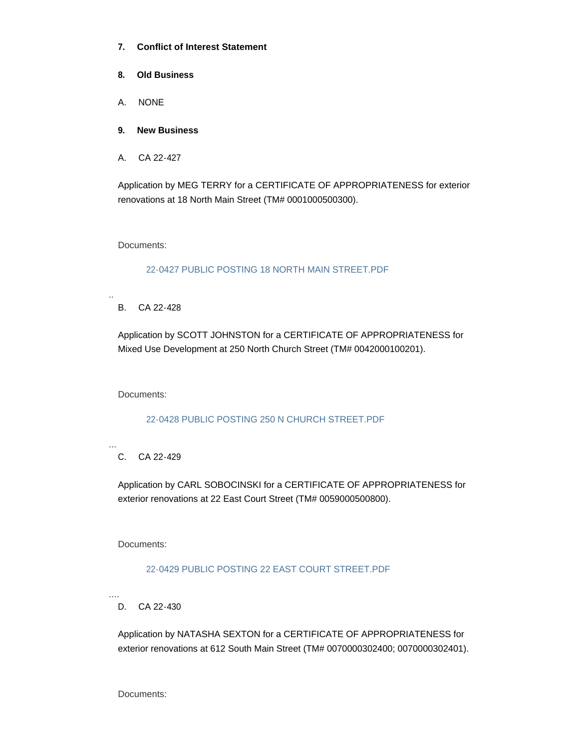- **7. Conflict of Interest Statement**
- **8. Old Business**
- A. NONE
- **9. New Business**
- A. CA 22-427

Application by MEG TERRY for a CERTIFICATE OF APPROPRIATENESS for exterior renovations at 18 North Main Street (TM# 0001000500300).

Documents:

[22-0427 PUBLIC POSTING 18 NORTH MAIN STREET.PDF](https://www.greenvillesc.gov/AgendaCenter/ViewFile/Item/9718?fileID=53373)

B. CA 22-428

..

Application by SCOTT JOHNSTON for a CERTIFICATE OF APPROPRIATENESS for Mixed Use Development at 250 North Church Street (TM# 0042000100201).

Documents:

# [22-0428 PUBLIC POSTING 250 N CHURCH STREET.PDF](https://www.greenvillesc.gov/AgendaCenter/ViewFile/Item/9719?fileID=53392)

...

C. CA 22-429

Application by CARL SOBOCINSKI for a CERTIFICATE OF APPROPRIATENESS for exterior renovations at 22 East Court Street (TM# 0059000500800).

Documents:

# [22-0429 PUBLIC POSTING 22 EAST COURT STREET.PDF](https://www.greenvillesc.gov/AgendaCenter/ViewFile/Item/9720?fileID=53375)

D. CA 22-430

....

Application by NATASHA SEXTON for a CERTIFICATE OF APPROPRIATENESS for exterior renovations at 612 South Main Street (TM# 0070000302400; 0070000302401).

Documents: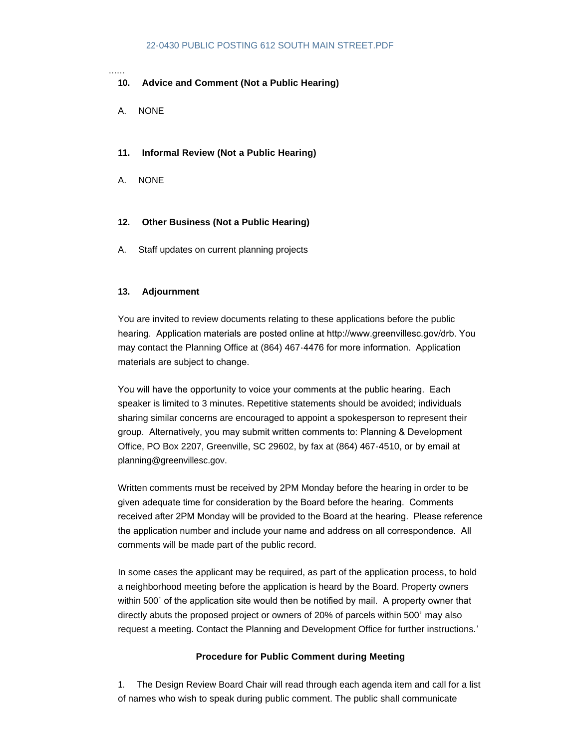### [22-0430 PUBLIC POSTING 612 SOUTH MAIN STREET.PDF](https://www.greenvillesc.gov/AgendaCenter/ViewFile/Item/9721?fileID=53376)

......

## **10. Advice and Comment (Not a Public Hearing)**

A. NONE

### **11. Informal Review (Not a Public Hearing)**

A. NONE

#### **12. Other Business (Not a Public Hearing)**

A. Staff updates on current planning projects

#### **13. Adjournment**

You are invited to review documents relating to these applications before the public hearing. Application materials are posted online at http://www.greenvillesc.gov/drb. You may contact the Planning Office at (864) 467-4476 for more information. Application materials are subject to change.

You will have the opportunity to voice your comments at the public hearing. Each speaker is limited to 3 minutes. Repetitive statements should be avoided; individuals sharing similar concerns are encouraged to appoint a spokesperson to represent their group. Alternatively, you may submit written comments to: Planning & Development Office, PO Box 2207, Greenville, SC 29602, by fax at (864) 467-4510, or by email at planning@greenvillesc.gov.

Written comments must be received by 2PM Monday before the hearing in order to be given adequate time for consideration by the Board before the hearing. Comments received after 2PM Monday will be provided to the Board at the hearing. Please reference the application number and include your name and address on all correspondence. All comments will be made part of the public record.

In some cases the applicant may be required, as part of the application process, to hold a neighborhood meeting before the application is heard by the Board. Property owners within 500' of the application site would then be notified by mail. A property owner that directly abuts the proposed project or owners of 20% of parcels within 500' may also request a meeting. Contact the Planning and Development Office for further instructions.'

### **Procedure for Public Comment during Meeting**

1. The Design Review Board Chair will read through each agenda item and call for a list of names who wish to speak during public comment. The public shall communicate